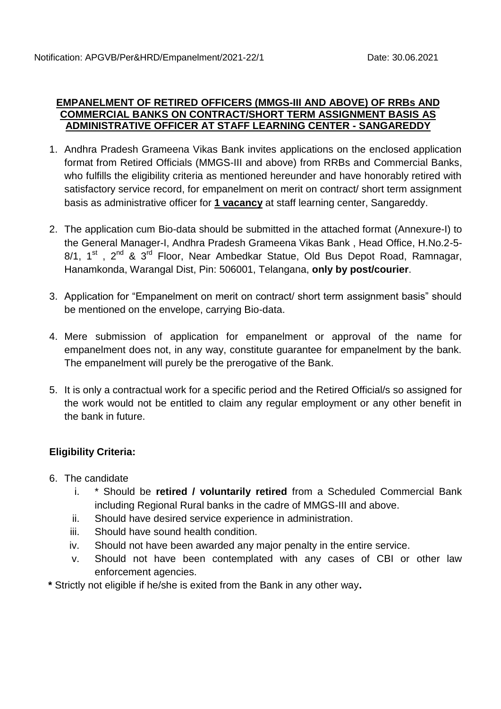#### **EMPANELMENT OF RETIRED OFFICERS (MMGS-III AND ABOVE) OF RRBs AND COMMERCIAL BANKS ON CONTRACT/SHORT TERM ASSIGNMENT BASIS AS ADMINISTRATIVE OFFICER AT STAFF LEARNING CENTER - SANGAREDDY**

- 1. Andhra Pradesh Grameena Vikas Bank invites applications on the enclosed application format from Retired Officials (MMGS-III and above) from RRBs and Commercial Banks, who fulfills the eligibility criteria as mentioned hereunder and have honorably retired with satisfactory service record, for empanelment on merit on contract/ short term assignment basis as administrative officer for **1 vacancy** at staff learning center, Sangareddy.
- 2. The application cum Bio-data should be submitted in the attached format (Annexure-I) to the General Manager-I, Andhra Pradesh Grameena Vikas Bank , Head Office, H.No.2-5- 8/1, 1<sup>st</sup>, 2<sup>nd</sup> & 3<sup>rd</sup> Floor, Near Ambedkar Statue, Old Bus Depot Road, Ramnagar, Hanamkonda, Warangal Dist, Pin: 506001, Telangana, **only by post/courier**.
- 3. Application for "Empanelment on merit on contract/ short term assignment basis" should be mentioned on the envelope, carrying Bio-data.
- 4. Mere submission of application for empanelment or approval of the name for empanelment does not, in any way, constitute guarantee for empanelment by the bank. The empanelment will purely be the prerogative of the Bank.
- 5. It is only a contractual work for a specific period and the Retired Official/s so assigned for the work would not be entitled to claim any regular employment or any other benefit in the bank in future.

## **Eligibility Criteria:**

- 6. The candidate
	- i. \* Should be **retired / voluntarily retired** from a Scheduled Commercial Bank including Regional Rural banks in the cadre of MMGS-III and above.
	- ii. Should have desired service experience in administration.
	- iii. Should have sound health condition.
	- iv. Should not have been awarded any major penalty in the entire service.
	- v. Should not have been contemplated with any cases of CBI or other law enforcement agencies.
- **\*** Strictly not eligible if he/she is exited from the Bank in any other way**.**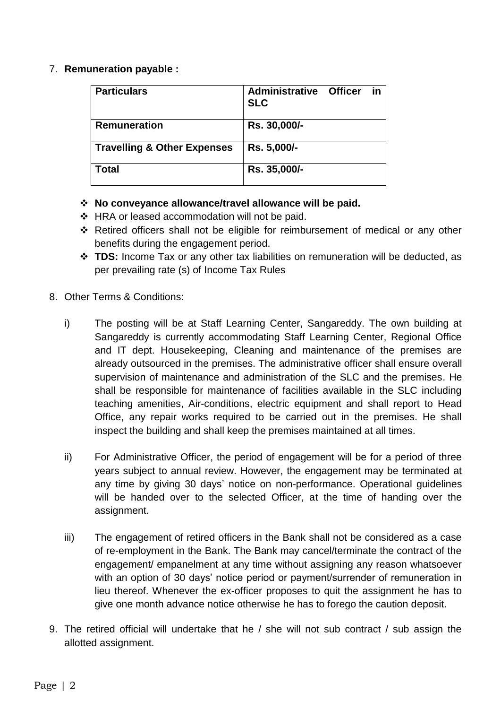### 7. **Remuneration payable :**

| <b>Particulars</b>                     | <b>Administrative Officer</b><br><b>SLC</b> | in |
|----------------------------------------|---------------------------------------------|----|
| <b>Remuneration</b>                    | Rs. 30,000/-                                |    |
| <b>Travelling &amp; Other Expenses</b> | Rs. 5,000/-                                 |    |
| <b>Total</b>                           | Rs. 35,000/-                                |    |

### **No conveyance allowance/travel allowance will be paid.**

- ❖ HRA or leased accommodation will not be paid.
- Retired officers shall not be eligible for reimbursement of medical or any other benefits during the engagement period.
- **TDS:** Income Tax or any other tax liabilities on remuneration will be deducted, as per prevailing rate (s) of Income Tax Rules
- 8. Other Terms & Conditions:
	- i) The posting will be at Staff Learning Center, Sangareddy. The own building at Sangareddy is currently accommodating Staff Learning Center, Regional Office and IT dept. Housekeeping, Cleaning and maintenance of the premises are already outsourced in the premises. The administrative officer shall ensure overall supervision of maintenance and administration of the SLC and the premises. He shall be responsible for maintenance of facilities available in the SLC including teaching amenities, Air-conditions, electric equipment and shall report to Head Office, any repair works required to be carried out in the premises. He shall inspect the building and shall keep the premises maintained at all times.
	- ii) For Administrative Officer, the period of engagement will be for a period of three years subject to annual review. However, the engagement may be terminated at any time by giving 30 days' notice on non-performance. Operational guidelines will be handed over to the selected Officer, at the time of handing over the assignment.
	- iii) The engagement of retired officers in the Bank shall not be considered as a case of re-employment in the Bank. The Bank may cancel/terminate the contract of the engagement/ empanelment at any time without assigning any reason whatsoever with an option of 30 days' notice period or payment/surrender of remuneration in lieu thereof. Whenever the ex-officer proposes to quit the assignment he has to give one month advance notice otherwise he has to forego the caution deposit.
- 9. The retired official will undertake that he / she will not sub contract / sub assign the allotted assignment.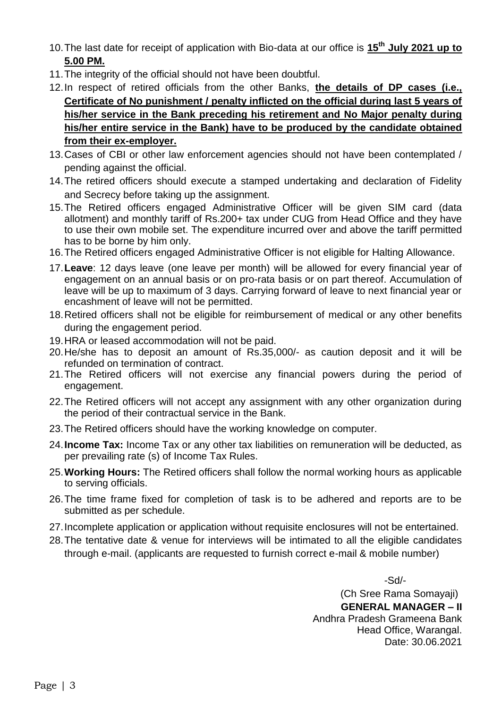- 10.The last date for receipt of application with Bio-data at our office is **15 th July 2021 up to 5.00 PM.**
- 11.The integrity of the official should not have been doubtful.
- 12.In respect of retired officials from the other Banks, **the details of DP cases (i.e., Certificate of No punishment / penalty inflicted on the official during last 5 years of his/her service in the Bank preceding his retirement and No Major penalty during his/her entire service in the Bank) have to be produced by the candidate obtained from their ex-employer.**
- 13.Cases of CBI or other law enforcement agencies should not have been contemplated / pending against the official.
- 14.The retired officers should execute a stamped undertaking and declaration of Fidelity and Secrecy before taking up the assignment.
- 15.The Retired officers engaged Administrative Officer will be given SIM card (data allotment) and monthly tariff of Rs.200+ tax under CUG from Head Office and they have to use their own mobile set. The expenditure incurred over and above the tariff permitted has to be borne by him only.
- 16.The Retired officers engaged Administrative Officer is not eligible for Halting Allowance.
- 17.**Leave**: 12 days leave (one leave per month) will be allowed for every financial year of engagement on an annual basis or on pro-rata basis or on part thereof. Accumulation of leave will be up to maximum of 3 days. Carrying forward of leave to next financial year or encashment of leave will not be permitted.
- 18.Retired officers shall not be eligible for reimbursement of medical or any other benefits during the engagement period.
- 19.HRA or leased accommodation will not be paid.
- 20.He/she has to deposit an amount of Rs.35,000/- as caution deposit and it will be refunded on termination of contract.
- 21.The Retired officers will not exercise any financial powers during the period of engagement.
- 22.The Retired officers will not accept any assignment with any other organization during the period of their contractual service in the Bank.
- 23.The Retired officers should have the working knowledge on computer.
- 24.**Income Tax:** Income Tax or any other tax liabilities on remuneration will be deducted, as per prevailing rate (s) of Income Tax Rules.
- 25.**Working Hours:** The Retired officers shall follow the normal working hours as applicable to serving officials.
- 26.The time frame fixed for completion of task is to be adhered and reports are to be submitted as per schedule.
- 27.Incomplete application or application without requisite enclosures will not be entertained.
- 28.The tentative date & venue for interviews will be intimated to all the eligible candidates through e-mail. (applicants are requested to furnish correct e-mail & mobile number)

-Sd/-

 (Ch Sree Rama Somayaji) **GENERAL MANAGER – II** Andhra Pradesh Grameena Bank Head Office, Warangal. Date: 30.06.2021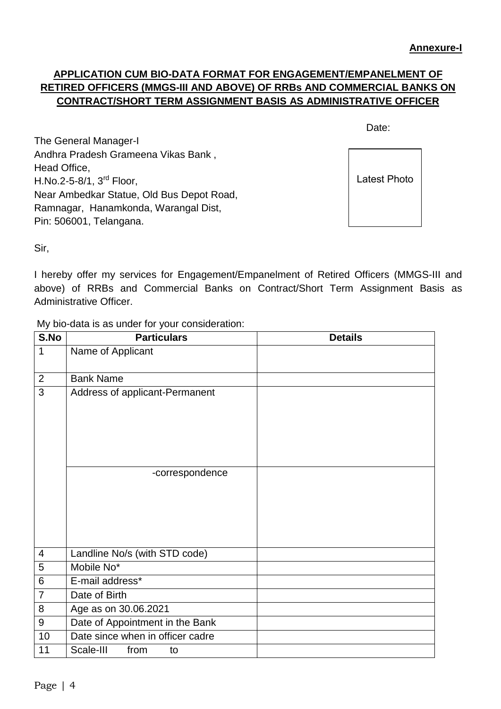# **APPLICATION CUM BIO-DATA FORMAT FOR ENGAGEMENT/EMPANELMENT OF RETIRED OFFICERS (MMGS-III AND ABOVE) OF RRBs AND COMMERCIAL BANKS ON CONTRACT/SHORT TERM ASSIGNMENT BASIS AS ADMINISTRATIVE OFFICER**

discussion of the contract of the contract of the Date:

The General Manager-I Andhra Pradesh Grameena Vikas Bank , Head Office, H.No.2-5-8/1, 3rd Floor, Near Ambedkar Statue, Old Bus Depot Road, Ramnagar, Hanamkonda, Warangal Dist, Pin: 506001, Telangana.

Latest Photo

Sir,

I hereby offer my services for Engagement/Empanelment of Retired Officers (MMGS-III and above) of RRBs and Commercial Banks on Contract/Short Term Assignment Basis as Administrative Officer.

My bio-data is as under for your consideration:

| S.No             | <b>Particulars</b>                                | <b>Details</b> |
|------------------|---------------------------------------------------|----------------|
| 1                | Name of Applicant                                 |                |
| $\overline{2}$   | <b>Bank Name</b>                                  |                |
| 3                | Address of applicant-Permanent<br>-correspondence |                |
|                  |                                                   |                |
| $\overline{4}$   | Landline No/s (with STD code)                     |                |
| 5                | Mobile No*                                        |                |
| $\,6$            | E-mail address*                                   |                |
| $\overline{7}$   | Date of Birth                                     |                |
| 8                | Age as on 30.06.2021                              |                |
| $\boldsymbol{9}$ | Date of Appointment in the Bank                   |                |
| 10               | Date since when in officer cadre                  |                |
| 11               | Scale-III<br>from<br>to                           |                |